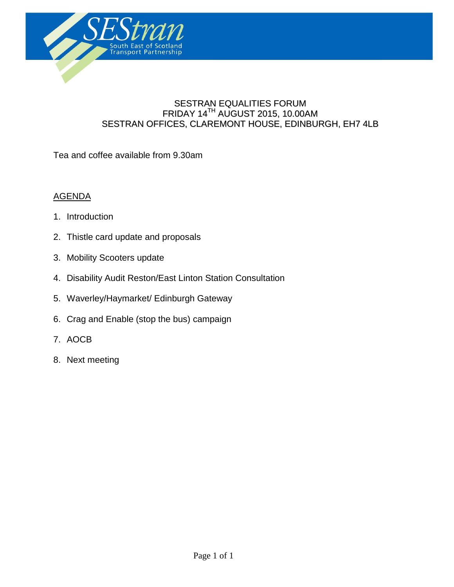

#### SESTRAN EQUALITIES FORUM  $\mathsf{FRIDAY}\ 14^{\mathsf{TH}}$  AUGUST 2015, 10.00AM SESTRAN OFFICES, CLAREMONT HOUSE, EDINBURGH, EH7 4LB

**Agenda**

Tea and coffee available from 9.30am

#### AGENDA

- 1. Introduction
- 2. Thistle card update and proposals
- 3. Mobility Scooters update
- 4. Disability Audit Reston/East Linton Station Consultation
- 5. Waverley/Haymarket/ Edinburgh Gateway
- 6. Crag and Enable (stop the bus) campaign
- 7. AOCB
- 8. Next meeting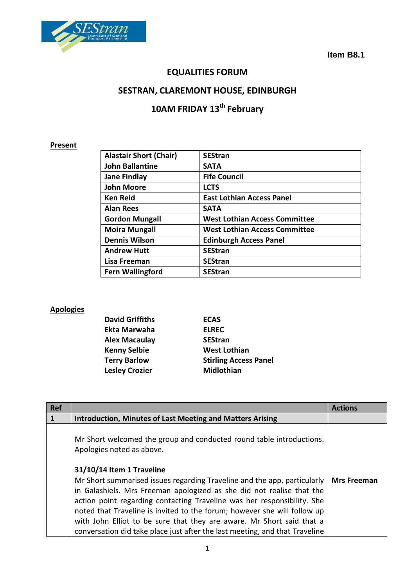

**Item B8.1**

# **EQUALITIES FORUM**

# **SESTRAN, CLAREMONT HOUSE, EDINBURGH**

# **10AM FRIDAY 13th February**

#### **Present**

| <b>Alastair Short (Chair)</b> | <b>SEStran</b>                       |
|-------------------------------|--------------------------------------|
| <b>John Ballantine</b>        | <b>SATA</b>                          |
| <b>Jane Findlay</b>           | <b>Fife Council</b>                  |
| <b>John Moore</b>             | <b>LCTS</b>                          |
| <b>Ken Reid</b>               | <b>East Lothian Access Panel</b>     |
| <b>Alan Rees</b>              | <b>SATA</b>                          |
| <b>Gordon Mungall</b>         | <b>West Lothian Access Committee</b> |
| <b>Moira Mungall</b>          | <b>West Lothian Access Committee</b> |
| <b>Dennis Wilson</b>          | <b>Edinburgh Access Panel</b>        |
| <b>Andrew Hutt</b>            | <b>SEStran</b>                       |
| Lisa Freeman                  | <b>SEStran</b>                       |
| <b>Fern Wallingford</b>       | <b>SEStran</b>                       |

#### **Apologies**

| <b>David Griffiths</b> | <b>ECAS</b>                  |
|------------------------|------------------------------|
| Ekta Marwaha           | <b>ELREC</b>                 |
| Alex Macaulay          | <b>SEStran</b>               |
| <b>Kenny Selbie</b>    | <b>West Lothian</b>          |
| <b>Terry Barlow</b>    | <b>Stirling Access Panel</b> |
| <b>Lesley Crozier</b>  | <b>Midlothian</b>            |
|                        |                              |

| <b>Ref</b> |                                                                                                                                                                                                                                                                                                                                                                                                                                                                                               | <b>Actions</b>     |
|------------|-----------------------------------------------------------------------------------------------------------------------------------------------------------------------------------------------------------------------------------------------------------------------------------------------------------------------------------------------------------------------------------------------------------------------------------------------------------------------------------------------|--------------------|
|            | <b>Introduction, Minutes of Last Meeting and Matters Arising</b>                                                                                                                                                                                                                                                                                                                                                                                                                              |                    |
|            | Mr Short welcomed the group and conducted round table introductions.<br>Apologies noted as above.                                                                                                                                                                                                                                                                                                                                                                                             |                    |
|            | 31/10/14 Item 1 Traveline<br>Mr Short summarised issues regarding Traveline and the app, particularly<br>in Galashiels. Mrs Freeman apologized as she did not realise that the<br>action point regarding contacting Traveline was her responsibility. She<br>noted that Traveline is invited to the forum; however she will follow up<br>with John Elliot to be sure that they are aware. Mr Short said that a<br>conversation did take place just after the last meeting, and that Traveline | <b>Mrs Freeman</b> |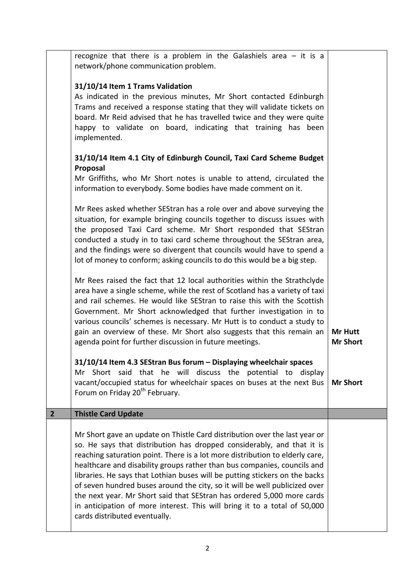|                | recognize that there is a problem in the Galashiels area $-$ it is a<br>network/phone communication problem.<br>31/10/14 Item 1 Trams Validation<br>As indicated in the previous minutes, Mr Short contacted Edinburgh<br>Trams and received a response stating that they will validate tickets on<br>board. Mr Reid advised that he has travelled twice and they were quite<br>happy to validate on board, indicating that training has been<br>implemented.                                                                                                                                                                                                         |                                   |
|----------------|-----------------------------------------------------------------------------------------------------------------------------------------------------------------------------------------------------------------------------------------------------------------------------------------------------------------------------------------------------------------------------------------------------------------------------------------------------------------------------------------------------------------------------------------------------------------------------------------------------------------------------------------------------------------------|-----------------------------------|
|                | 31/10/14 Item 4.1 City of Edinburgh Council, Taxi Card Scheme Budget<br>Proposal<br>Mr Griffiths, who Mr Short notes is unable to attend, circulated the<br>information to everybody. Some bodies have made comment on it.                                                                                                                                                                                                                                                                                                                                                                                                                                            |                                   |
|                | Mr Rees asked whether SEStran has a role over and above surveying the<br>situation, for example bringing councils together to discuss issues with<br>the proposed Taxi Card scheme. Mr Short responded that SEStran<br>conducted a study in to taxi card scheme throughout the SEStran area,<br>and the findings were so divergent that councils would have to spend a<br>lot of money to conform; asking councils to do this would be a big step.                                                                                                                                                                                                                    |                                   |
|                | Mr Rees raised the fact that 12 local authorities within the Strathclyde<br>area have a single scheme, while the rest of Scotland has a variety of taxi<br>and rail schemes. He would like SEStran to raise this with the Scottish<br>Government. Mr Short acknowledged that further investigation in to<br>various councils' schemes is necessary. Mr Hutt is to conduct a study to<br>gain an overview of these. Mr Short also suggests that this remain an<br>agenda point for further discussion in future meetings.                                                                                                                                              | <b>Mr Hutt</b><br><b>Mr Short</b> |
|                | 31/10/14 Item 4.3 SEStran Bus forum - Displaying wheelchair spaces<br>Mr Short said that he will discuss the potential to<br>display<br>vacant/occupied status for wheelchair spaces on buses at the next Bus<br>Forum on Friday 20 <sup>th</sup> February.                                                                                                                                                                                                                                                                                                                                                                                                           | <b>Mr Short</b>                   |
| $\overline{2}$ | <b>Thistle Card Update</b>                                                                                                                                                                                                                                                                                                                                                                                                                                                                                                                                                                                                                                            |                                   |
|                | Mr Short gave an update on Thistle Card distribution over the last year or<br>so. He says that distribution has dropped considerably, and that it is<br>reaching saturation point. There is a lot more distribution to elderly care,<br>healthcare and disability groups rather than bus companies, councils and<br>libraries. He says that Lothian buses will be putting stickers on the backs<br>of seven hundred buses around the city, so it will be well publicized over<br>the next year. Mr Short said that SEStran has ordered 5,000 more cards<br>in anticipation of more interest. This will bring it to a total of 50,000<br>cards distributed eventually. |                                   |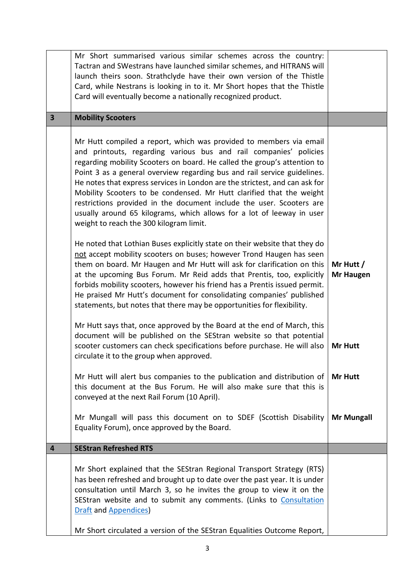|                         | Mr Short summarised various similar schemes across the country:<br>Tactran and SWestrans have launched similar schemes, and HITRANS will<br>launch theirs soon. Strathclyde have their own version of the Thistle<br>Card, while Nestrans is looking in to it. Mr Short hopes that the Thistle<br>Card will eventually become a nationally recognized product.                                                                                                                                                                                                                                                                                     |                               |
|-------------------------|----------------------------------------------------------------------------------------------------------------------------------------------------------------------------------------------------------------------------------------------------------------------------------------------------------------------------------------------------------------------------------------------------------------------------------------------------------------------------------------------------------------------------------------------------------------------------------------------------------------------------------------------------|-------------------------------|
| $\overline{\mathbf{3}}$ | <b>Mobility Scooters</b>                                                                                                                                                                                                                                                                                                                                                                                                                                                                                                                                                                                                                           |                               |
|                         | Mr Hutt compiled a report, which was provided to members via email<br>and printouts, regarding various bus and rail companies' policies<br>regarding mobility Scooters on board. He called the group's attention to<br>Point 3 as a general overview regarding bus and rail service guidelines.<br>He notes that express services in London are the strictest, and can ask for<br>Mobility Scooters to be condensed. Mr Hutt clarified that the weight<br>restrictions provided in the document include the user. Scooters are<br>usually around 65 kilograms, which allows for a lot of leeway in user<br>weight to reach the 300 kilogram limit. |                               |
|                         | He noted that Lothian Buses explicitly state on their website that they do<br>not accept mobility scooters on buses; however Trond Haugen has seen<br>them on board. Mr Haugen and Mr Hutt will ask for clarification on this<br>at the upcoming Bus Forum. Mr Reid adds that Prentis, too, explicitly<br>forbids mobility scooters, however his friend has a Prentis issued permit.<br>He praised Mr Hutt's document for consolidating companies' published<br>statements, but notes that there may be opportunities for flexibility.                                                                                                             | Mr Hutt /<br><b>Mr Haugen</b> |
|                         | Mr Hutt says that, once approved by the Board at the end of March, this<br>document will be published on the SEStran website so that potential<br>scooter customers can check specifications before purchase. He will also<br>circulate it to the group when approved.                                                                                                                                                                                                                                                                                                                                                                             | Mr Hutt                       |
|                         | Mr Hutt will alert bus companies to the publication and distribution of<br>this document at the Bus Forum. He will also make sure that this is<br>conveyed at the next Rail Forum (10 April).                                                                                                                                                                                                                                                                                                                                                                                                                                                      | <b>Mr Hutt</b>                |
|                         | Mr Mungall will pass this document on to SDEF (Scottish Disability<br>Equality Forum), once approved by the Board.                                                                                                                                                                                                                                                                                                                                                                                                                                                                                                                                 | <b>Mr Mungall</b>             |
| 4                       | <b>SEStran Refreshed RTS</b>                                                                                                                                                                                                                                                                                                                                                                                                                                                                                                                                                                                                                       |                               |
|                         | Mr Short explained that the SEStran Regional Transport Strategy (RTS)<br>has been refreshed and brought up to date over the past year. It is under<br>consultation until March 3, so he invites the group to view it on the<br>SEStran website and to submit any comments. (Links to Consultation<br><b>Draft and Appendices</b>                                                                                                                                                                                                                                                                                                                   |                               |
|                         | Mr Short circulated a version of the SEStran Equalities Outcome Report,                                                                                                                                                                                                                                                                                                                                                                                                                                                                                                                                                                            |                               |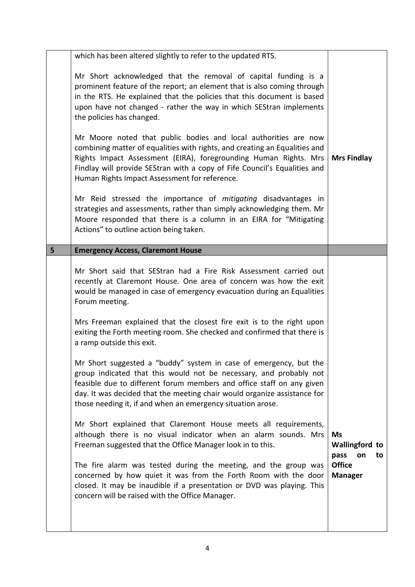|   | which has been altered slightly to refer to the updated RTS.                                                                                                                                                                                                                                                                                                |                                                        |
|---|-------------------------------------------------------------------------------------------------------------------------------------------------------------------------------------------------------------------------------------------------------------------------------------------------------------------------------------------------------------|--------------------------------------------------------|
|   | Mr Short acknowledged that the removal of capital funding is a<br>prominent feature of the report; an element that is also coming through<br>in the RTS. He explained that the policies that this document is based<br>upon have not changed - rather the way in which SEStran implements<br>the policies has changed.                                      |                                                        |
|   | Mr Moore noted that public bodies and local authorities are now<br>combining matter of equalities with rights, and creating an Equalities and<br>Rights Impact Assessment (EIRA), foregrounding Human Rights. Mrs<br>Findlay will provide SEStran with a copy of Fife Council's Equalities and<br>Human Rights Impact Assessment for reference.             | <b>Mrs Findlay</b>                                     |
|   | Mr Reid stressed the importance of mitigating disadvantages in<br>strategies and assessments, rather than simply acknowledging them. Mr<br>Moore responded that there is a column in an EIRA for "Mitigating<br>Actions" to outline action being taken.                                                                                                     |                                                        |
| 5 | <b>Emergency Access, Claremont House</b>                                                                                                                                                                                                                                                                                                                    |                                                        |
|   | Mr Short said that SEStran had a Fire Risk Assessment carried out<br>recently at Claremont House. One area of concern was how the exit<br>would be managed in case of emergency evacuation during an Equalities<br>Forum meeting.                                                                                                                           |                                                        |
|   | Mrs Freeman explained that the closest fire exit is to the right upon<br>exiting the Forth meeting room. She checked and confirmed that there is<br>a ramp outside this exit.                                                                                                                                                                               |                                                        |
|   | Mr Short suggested a "buddy" system in case of emergency, but the<br>group indicated that this would not be necessary, and probably not<br>feasible due to different forum members and office staff on any given<br>day. It was decided that the meeting chair would organize assistance for<br>those needing it, if and when an emergency situation arose. |                                                        |
|   | Mr Short explained that Claremont House meets all requirements,<br>although there is no visual indicator when an alarm sounds. Mrs<br>Freeman suggested that the Office Manager look in to this.                                                                                                                                                            | <b>Ms</b><br><b>Wallingford to</b><br>pass<br>on<br>to |
|   | The fire alarm was tested during the meeting, and the group was<br>concerned by how quiet it was from the Forth Room with the door<br>closed. It may be inaudible if a presentation or DVD was playing. This<br>concern will be raised with the Office Manager.                                                                                             | <b>Office</b><br><b>Manager</b>                        |
|   |                                                                                                                                                                                                                                                                                                                                                             |                                                        |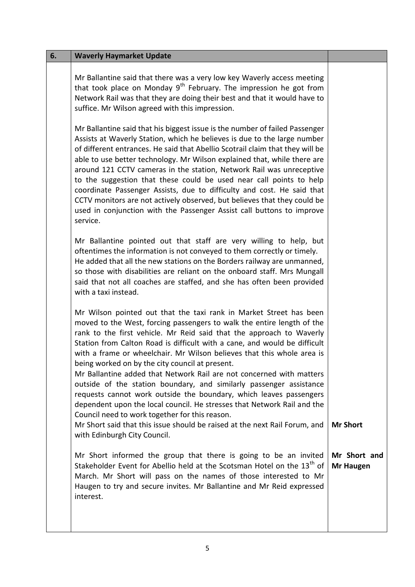| 6. | <b>Waverly Haymarket Update</b>                                                                                                                                                                                                                                                                                                                                                                                                                                                                                                                                                                                                                                                                                                                                                  |                                                     |
|----|----------------------------------------------------------------------------------------------------------------------------------------------------------------------------------------------------------------------------------------------------------------------------------------------------------------------------------------------------------------------------------------------------------------------------------------------------------------------------------------------------------------------------------------------------------------------------------------------------------------------------------------------------------------------------------------------------------------------------------------------------------------------------------|-----------------------------------------------------|
|    | Mr Ballantine said that there was a very low key Waverly access meeting<br>that took place on Monday $9^{th}$ February. The impression he got from<br>Network Rail was that they are doing their best and that it would have to<br>suffice. Mr Wilson agreed with this impression.                                                                                                                                                                                                                                                                                                                                                                                                                                                                                               |                                                     |
|    | Mr Ballantine said that his biggest issue is the number of failed Passenger<br>Assists at Waverly Station, which he believes is due to the large number<br>of different entrances. He said that Abellio Scotrail claim that they will be<br>able to use better technology. Mr Wilson explained that, while there are<br>around 121 CCTV cameras in the station, Network Rail was unreceptive<br>to the suggestion that these could be used near call points to help<br>coordinate Passenger Assists, due to difficulty and cost. He said that<br>CCTV monitors are not actively observed, but believes that they could be<br>used in conjunction with the Passenger Assist call buttons to improve<br>service.                                                                   |                                                     |
|    | Mr Ballantine pointed out that staff are very willing to help, but<br>oftentimes the information is not conveyed to them correctly or timely.<br>He added that all the new stations on the Borders railway are unmanned,<br>so those with disabilities are reliant on the onboard staff. Mrs Mungall<br>said that not all coaches are staffed, and she has often been provided<br>with a taxi instead.                                                                                                                                                                                                                                                                                                                                                                           |                                                     |
|    | Mr Wilson pointed out that the taxi rank in Market Street has been<br>moved to the West, forcing passengers to walk the entire length of the<br>rank to the first vehicle. Mr Reid said that the approach to Waverly<br>Station from Calton Road is difficult with a cane, and would be difficult<br>with a frame or wheelchair. Mr Wilson believes that this whole area is<br>being worked on by the city council at present.<br>Mr Ballantine added that Network Rail are not concerned with matters<br>outside of the station boundary, and similarly passenger assistance<br>requests cannot work outside the boundary, which leaves passengers<br>dependent upon the local council. He stresses that Network Rail and the<br>Council need to work together for this reason. |                                                     |
|    | Mr Short said that this issue should be raised at the next Rail Forum, and<br>with Edinburgh City Council.<br>Mr Short informed the group that there is going to be an invited<br>Stakeholder Event for Abellio held at the Scotsman Hotel on the 13 <sup>th</sup> of<br>March. Mr Short will pass on the names of those interested to Mr<br>Haugen to try and secure invites. Mr Ballantine and Mr Reid expressed<br>interest.                                                                                                                                                                                                                                                                                                                                                  | <b>Mr Short</b><br>Mr Short and<br><b>Mr Haugen</b> |
|    |                                                                                                                                                                                                                                                                                                                                                                                                                                                                                                                                                                                                                                                                                                                                                                                  |                                                     |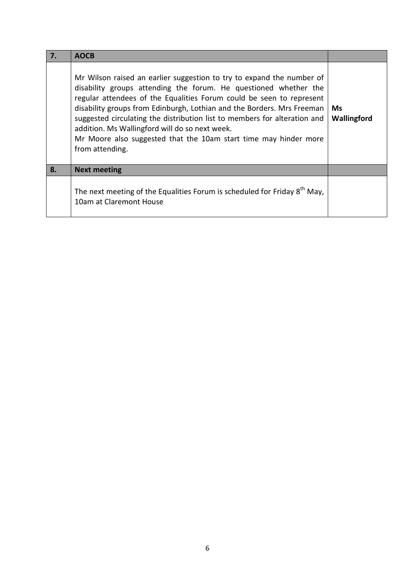| 7. | <b>AOCB</b>                                                                                                                                                                                                                                                                                                                                                                                                                                                                                                       |                          |
|----|-------------------------------------------------------------------------------------------------------------------------------------------------------------------------------------------------------------------------------------------------------------------------------------------------------------------------------------------------------------------------------------------------------------------------------------------------------------------------------------------------------------------|--------------------------|
|    | Mr Wilson raised an earlier suggestion to try to expand the number of<br>disability groups attending the forum. He questioned whether the<br>regular attendees of the Equalities Forum could be seen to represent<br>disability groups from Edinburgh, Lothian and the Borders. Mrs Freeman<br>suggested circulating the distribution list to members for alteration and<br>addition. Ms Wallingford will do so next week.<br>Mr Moore also suggested that the 10am start time may hinder more<br>from attending. | <b>Ms</b><br>Wallingford |
| 8. | <b>Next meeting</b>                                                                                                                                                                                                                                                                                                                                                                                                                                                                                               |                          |
|    | The next meeting of the Equalities Forum is scheduled for Friday 8 <sup>th</sup> May,<br>10am at Claremont House                                                                                                                                                                                                                                                                                                                                                                                                  |                          |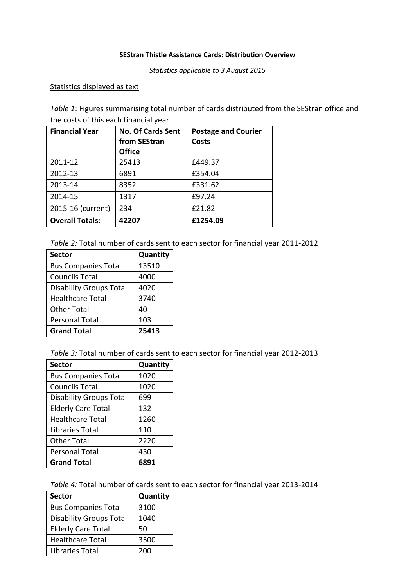#### **SEStran Thistle Assistance Cards: Distribution Overview**

*Statistics applicable to 3 August 2015*

#### Statistics displayed as text

*Table 1*: Figures summarising total number of cards distributed from the SEStran office and the costs of this each financial year

| <b>Financial Year</b>  | <b>No. Of Cards Sent</b><br>from SEStran | <b>Postage and Courier</b><br><b>Costs</b> |
|------------------------|------------------------------------------|--------------------------------------------|
|                        | <b>Office</b>                            |                                            |
| 2011-12                | 25413                                    | £449.37                                    |
| 2012-13                | 6891                                     | £354.04                                    |
| 2013-14                | 8352                                     | £331.62                                    |
| 2014-15                | 1317                                     | £97.24                                     |
| 2015-16 (current)      | 234                                      | £21.82                                     |
| <b>Overall Totals:</b> | 42207                                    | £1254.09                                   |

*Table 2:* Total number of cards sent to each sector for financial year 2011-2012

| <b>Sector</b>                  | Quantity |
|--------------------------------|----------|
| <b>Bus Companies Total</b>     | 13510    |
| <b>Councils Total</b>          | 4000     |
| <b>Disability Groups Total</b> | 4020     |
| <b>Healthcare Total</b>        | 3740     |
| <b>Other Total</b>             | 40       |
| <b>Personal Total</b>          | 103      |
| <b>Grand Total</b>             | 25413    |

*Table 3:* Total number of cards sent to each sector for financial year 2012-2013

| <b>Sector</b>                  | Quantity |
|--------------------------------|----------|
| <b>Bus Companies Total</b>     | 1020     |
| <b>Councils Total</b>          | 1020     |
| <b>Disability Groups Total</b> | 699      |
| <b>Elderly Care Total</b>      | 132      |
| <b>Healthcare Total</b>        | 1260     |
| Libraries Total                | 110      |
| <b>Other Total</b>             | 2220     |
| <b>Personal Total</b>          | 430      |
| <b>Grand Total</b>             | 6891     |

*Table 4:* Total number of cards sent to each sector for financial year 2013-2014

| <b>Sector</b>                  | Quantity |
|--------------------------------|----------|
| <b>Bus Companies Total</b>     | 3100     |
| <b>Disability Groups Total</b> | 1040     |
| <b>Elderly Care Total</b>      | 50       |
| <b>Healthcare Total</b>        | 3500     |
| Libraries Total                | 200      |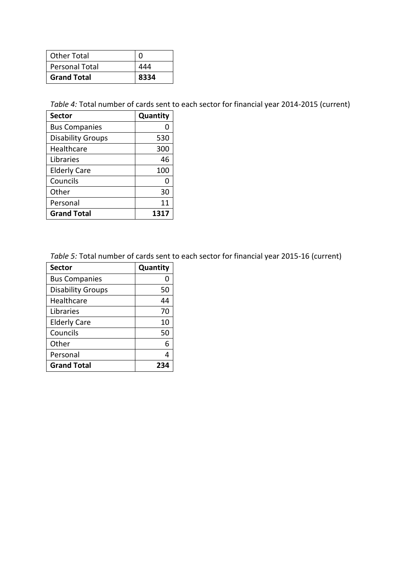| <b>Other Total</b>    |      |
|-----------------------|------|
| <b>Personal Total</b> |      |
| <b>Grand Total</b>    | 8334 |

*Table 4:* Total number of cards sent to each sector for financial year 2014-2015 (current)

| <b>Sector</b>            | Quantity |
|--------------------------|----------|
| <b>Bus Companies</b>     | 0        |
| <b>Disability Groups</b> | 530      |
| Healthcare               | 300      |
| Libraries                | 46       |
| <b>Elderly Care</b>      | 100      |
| Councils                 | 0        |
| Other                    | 30       |
| Personal                 | 11       |
| <b>Grand Total</b>       | 1317     |

*Table 5:* Total number of cards sent to each sector for financial year 2015-16 (current)

| <b>Sector</b>            | Quantity |  |
|--------------------------|----------|--|
| <b>Bus Companies</b>     |          |  |
| <b>Disability Groups</b> | 50       |  |
| Healthcare               | 44       |  |
| Libraries                | 70       |  |
| <b>Elderly Care</b>      | 10       |  |
| Councils                 | 50       |  |
| Other                    | 6        |  |
| Personal                 |          |  |
| <b>Grand Total</b>       |          |  |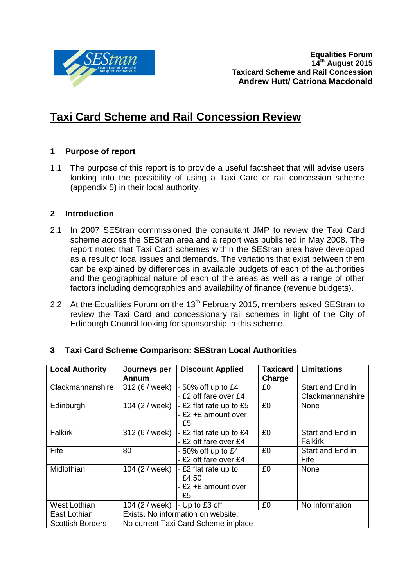

# **Taxi Card Scheme and Rail Concession Review**

# **1 Purpose of report**

1.1 The purpose of this report is to provide a useful factsheet that will advise users looking into the possibility of using a Taxi Card or rail concession scheme (appendix 5) in their local authority.

#### **2 Introduction**

- 2.1 In 2007 SEStran commissioned the consultant JMP to review the Taxi Card scheme across the SEStran area and a report was published in May 2008. The report noted that Taxi Card schemes within the SEStran area have developed as a result of local issues and demands. The variations that exist between them can be explained by differences in available budgets of each of the authorities and the geographical nature of each of the areas as well as a range of other factors including demographics and availability of finance (revenue budgets).
- 2.2 At the Equalities Forum on the  $13<sup>th</sup>$  February 2015, members asked SEStran to review the Taxi Card and concessionary rail schemes in light of the City of Edinburgh Council looking for sponsorship in this scheme.

| <b>Local Authority</b>  | Journeys per                         | <b>Discount Applied</b> | <b>Taxicard</b> | <b>Limitations</b> |  |
|-------------------------|--------------------------------------|-------------------------|-----------------|--------------------|--|
|                         | Annum                                |                         | Charge          |                    |  |
| Clackmannanshire        | 312 (6 / week)                       | 50% off up to £4        | £0              | Start and End in   |  |
|                         |                                      | £2 off fare over £4     |                 | Clackmannanshire   |  |
| Edinburgh               | 104 (2 / week)                       | £2 flat rate up to £5   | £0              | None               |  |
|                         |                                      | £2 +£ amount over       |                 |                    |  |
|                         |                                      | £5                      |                 |                    |  |
| <b>Falkirk</b>          | 312 (6 / week)                       | £2 flat rate up to £4   | £0              | Start and End in   |  |
|                         |                                      | £2 off fare over £4     |                 | <b>Falkirk</b>     |  |
| Fife                    | 80                                   | 50% off up to £4        | £0              | Start and End in   |  |
|                         |                                      | £2 off fare over £4     |                 | Fife               |  |
| Midlothian              | 104 (2 / week)                       | £2 flat rate up to      | £0              | None               |  |
|                         |                                      | £4.50                   |                 |                    |  |
|                         |                                      | £2 +£ amount over       |                 |                    |  |
|                         |                                      | £5                      |                 |                    |  |
| West Lothian            | 104 (2 / week)                       | $\vert$ - Up to £3 off  | £0              | No Information     |  |
| East Lothian            | Exists. No information on website.   |                         |                 |                    |  |
| <b>Scottish Borders</b> | No current Taxi Card Scheme in place |                         |                 |                    |  |

# **3 Taxi Card Scheme Comparison: SEStran Local Authorities**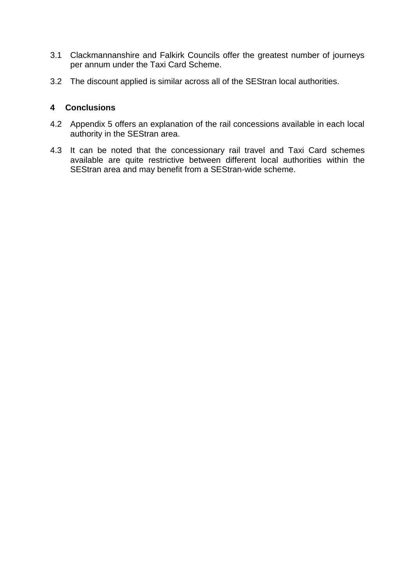- 3.1 Clackmannanshire and Falkirk Councils offer the greatest number of journeys per annum under the Taxi Card Scheme.
- 3.2 The discount applied is similar across all of the SEStran local authorities.

#### **4 Conclusions**

- 4.2 Appendix 5 offers an explanation of the rail concessions available in each local authority in the SEStran area.
- 4.3 It can be noted that the concessionary rail travel and Taxi Card schemes available are quite restrictive between different local authorities within the SEStran area and may benefit from a SEStran-wide scheme.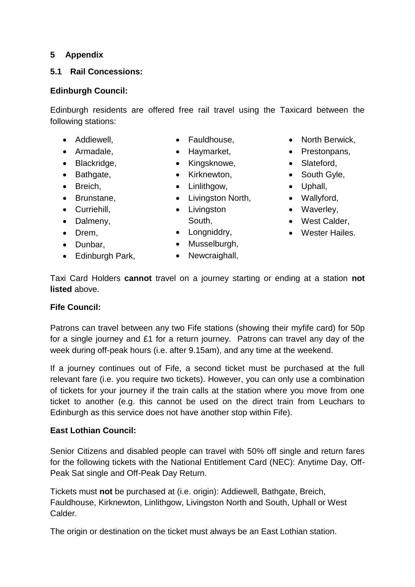# **5 Appendix**

## **5.1 Rail Concessions:**

## **Edinburgh Council:**

Edinburgh residents are offered free rail travel using the Taxicard between the following stations:

- Addiewell,
- Armadale,
- Blackridge,
- Bathgate,
- Breich,
- Brunstane.
- Curriehill.
- Dalmeny,
- Drem,
- Dunbar,
- Edinburgh Park,
- Fauldhouse,
- Haymarket,
- Kingsknowe,
- Kirknewton,
- Linlithgow,
- Livingston North,
- Livingston
	- South,
- Longniddry,
- Musselburgh,
- Newcraighall,
- North Berwick,
- Prestonpans,
- Slateford,
- South Gyle,
	- Uphall,
- Wallyford,
	- Waverley,
	- West Calder,
	- Wester Hailes.

Taxi Card Holders **cannot** travel on a journey starting or ending at a station **not listed** above.

#### **Fife Council:**

Patrons can travel between any two Fife stations (showing their myfife card) for 50p for a single journey and £1 for a return journey. Patrons can travel any day of the week during off-peak hours (i.e. after 9.15am), and any time at the weekend.

If a journey continues out of Fife, a second ticket must be purchased at the full relevant fare (i.e. you require two tickets). However, you can only use a combination of tickets for your journey if the train calls at the station where you move from one ticket to another (e.g. this cannot be used on the direct train from Leuchars to Edinburgh as this service does not have another stop within Fife).

# **East Lothian Council:**

Senior Citizens and disabled people can travel with 50% off single and return fares for the following tickets with the National Entitlement Card (NEC): Anytime Day, Off-Peak Sat single and Off-Peak Day Return.

Tickets must **not** be purchased at (i.e. origin): Addiewell, Bathgate, Breich, Fauldhouse, Kirknewton, Linlithgow, Livingston North and South, Uphall or West Calder.

The origin or destination on the ticket must always be an East Lothian station.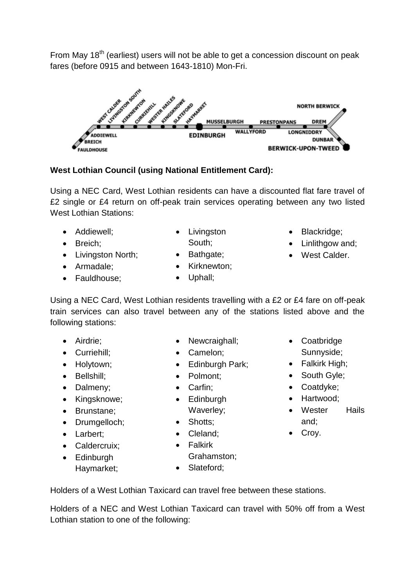From May 18<sup>th</sup> (earliest) users will not be able to get a concession discount on peak fares (before 0915 and between 1643-1810) Mon-Fri.



# **West Lothian Council (using National Entitlement Card):**

Using a NEC Card, West Lothian residents can have a discounted flat fare travel of £2 single or £4 return on off-peak train services operating between any two listed West Lothian Stations:

- Addiewell;
- Breich;
- Livingston North;
- Armadale:
- Fauldhouse;
- Livingston South;
- Bathgate;
- Kirknewton:
- Uphall;
- Blackridge;
- Linlithgow and;
- West Calder.
- Using a NEC Card, West Lothian residents travelling with a £2 or £4 fare on off-peak train services can also travel between any of the stations listed above and the following stations:
	- Airdrie:
	- Curriehill;
	- Holytown:
	- Bellshill;
	- Dalmeny;
	- Kingsknowe;
	- Brunstane:
	- Drumgelloch;
	- Larbert:
	- Caldercruix;
	- Edinburgh Haymarket;
- Newcraighall;
- Camelon;
- Edinburgh Park:
- Polmont;
- Carfin;
- Edinburgh Waverley;
- 
- 
- Falkirk
- Grahamston;
- Slateford;
- Coatbridge Sunnyside;
- Falkirk High:
- South Gyle;
- Coatdyke;
- Hartwood;
- Wester Hails and;
- Croy.
- Holders of a West Lothian Taxicard can travel free between these stations.

Holders of a NEC and West Lothian Taxicard can travel with 50% off from a West Lothian station to one of the following:

- 
- 
- -
	-
	- Cleland:
	-
- 
- -
- Shotts;